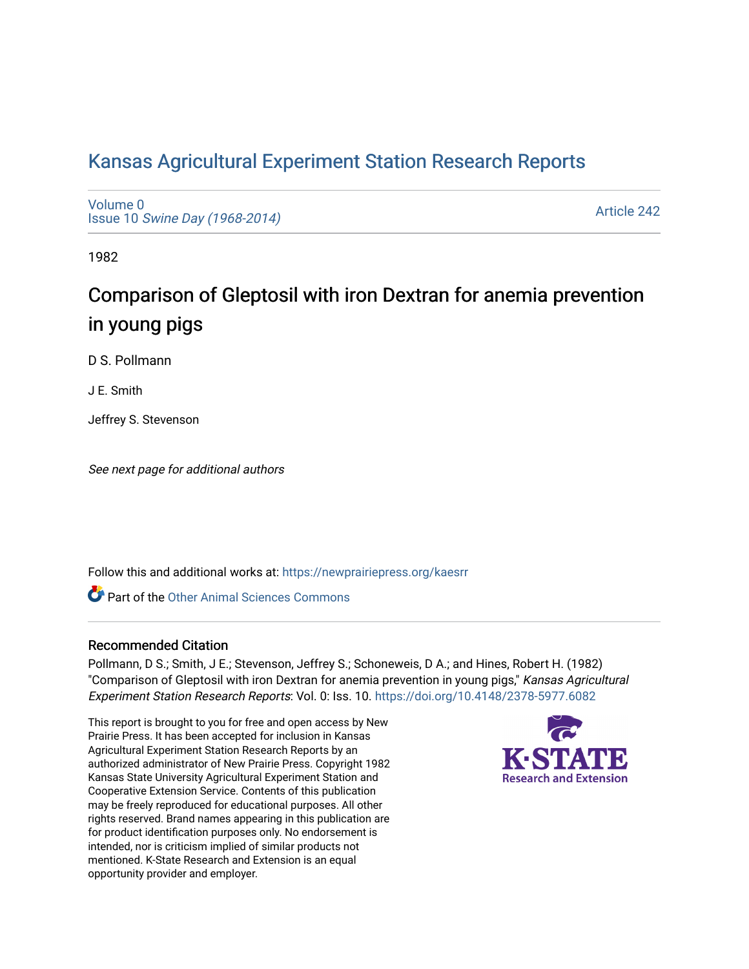# [Kansas Agricultural Experiment Station Research Reports](https://newprairiepress.org/kaesrr)

[Volume 0](https://newprairiepress.org/kaesrr/vol0) Issue 10 [Swine Day \(1968-2014\)](https://newprairiepress.org/kaesrr/vol0/iss10)

[Article 242](https://newprairiepress.org/kaesrr/vol0/iss10/242) 

1982

# Comparison of Gleptosil with iron Dextran for anemia prevention in young pigs

D S. Pollmann

J E. Smith

Jeffrey S. Stevenson

See next page for additional authors

Follow this and additional works at: [https://newprairiepress.org/kaesrr](https://newprairiepress.org/kaesrr?utm_source=newprairiepress.org%2Fkaesrr%2Fvol0%2Fiss10%2F242&utm_medium=PDF&utm_campaign=PDFCoverPages) 

**C** Part of the [Other Animal Sciences Commons](http://network.bepress.com/hgg/discipline/82?utm_source=newprairiepress.org%2Fkaesrr%2Fvol0%2Fiss10%2F242&utm_medium=PDF&utm_campaign=PDFCoverPages)

### Recommended Citation

Pollmann, D S.; Smith, J E.; Stevenson, Jeffrey S.; Schoneweis, D A.; and Hines, Robert H. (1982) "Comparison of Gleptosil with iron Dextran for anemia prevention in young pigs," Kansas Agricultural Experiment Station Research Reports: Vol. 0: Iss. 10. <https://doi.org/10.4148/2378-5977.6082>

This report is brought to you for free and open access by New Prairie Press. It has been accepted for inclusion in Kansas Agricultural Experiment Station Research Reports by an authorized administrator of New Prairie Press. Copyright 1982 Kansas State University Agricultural Experiment Station and Cooperative Extension Service. Contents of this publication may be freely reproduced for educational purposes. All other rights reserved. Brand names appearing in this publication are for product identification purposes only. No endorsement is intended, nor is criticism implied of similar products not mentioned. K-State Research and Extension is an equal opportunity provider and employer.

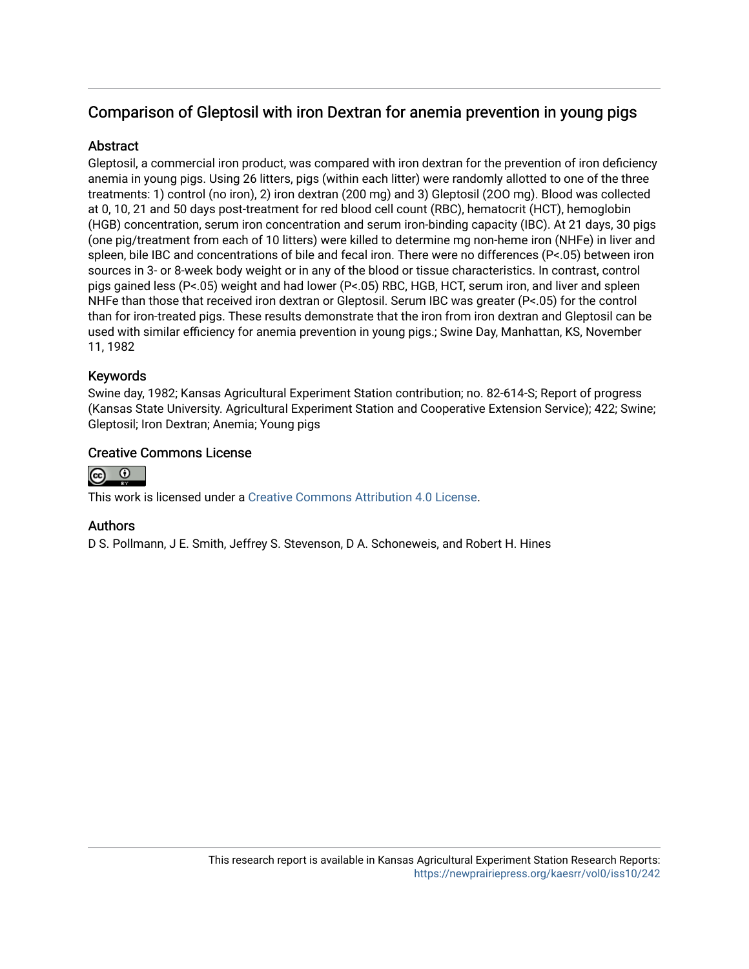# Comparison of Gleptosil with iron Dextran for anemia prevention in young pigs

## **Abstract**

Gleptosil, a commercial iron product, was compared with iron dextran for the prevention of iron deficiency anemia in young pigs. Using 26 litters, pigs (within each litter) were randomly allotted to one of the three treatments: 1) control (no iron), 2) iron dextran (200 mg) and 3) Gleptosil (2OO mg). Blood was collected at 0, 10, 21 and 50 days post-treatment for red blood cell count (RBC), hematocrit (HCT), hemoglobin (HGB) concentration, serum iron concentration and serum iron-binding capacity (IBC). At 21 days, 30 pigs (one pig/treatment from each of 10 litters) were killed to determine mg non-heme iron (NHFe) in liver and spleen, bile IBC and concentrations of bile and fecal iron. There were no differences (P<.05) between iron sources in 3- or 8-week body weight or in any of the blood or tissue characteristics. In contrast, control pigs gained less (P<.05) weight and had lower (P<.05) RBC, HGB, HCT, serum iron, and liver and spleen NHFe than those that received iron dextran or Gleptosil. Serum IBC was greater (P<.05) for the control than for iron-treated pigs. These results demonstrate that the iron from iron dextran and Gleptosil can be used with similar efficiency for anemia prevention in young pigs.; Swine Day, Manhattan, KS, November 11, 1982

## Keywords

Swine day, 1982; Kansas Agricultural Experiment Station contribution; no. 82-614-S; Report of progress (Kansas State University. Agricultural Experiment Station and Cooperative Extension Service); 422; Swine; Gleptosil; Iron Dextran; Anemia; Young pigs

## Creative Commons License



This work is licensed under a [Creative Commons Attribution 4.0 License](https://creativecommons.org/licenses/by/4.0/).

### Authors

D S. Pollmann, J E. Smith, Jeffrey S. Stevenson, D A. Schoneweis, and Robert H. Hines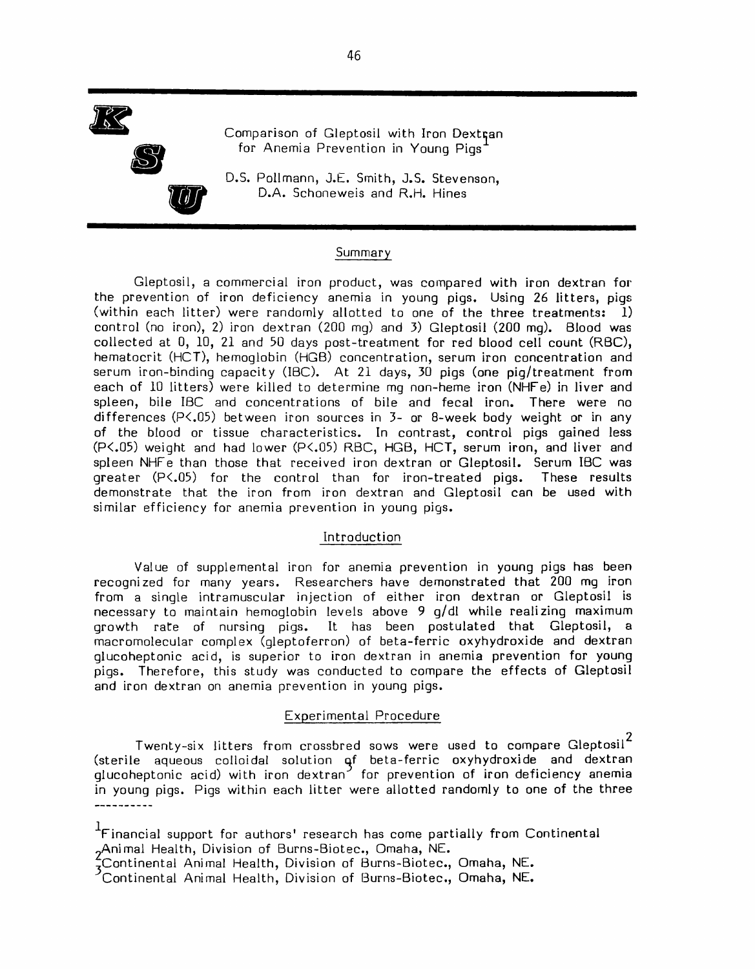

Comparison of Gleptosil with Iron Dextran for Anemia Prevention in Young Pigs'

D.S. Pollmann, J.E. Smith, J.S. Stevenson, D.A. Schoneweis and R.H. Hines

#### Summary

Gleptosil, a commercial iron product, was compared with iron dextran for the prevention of iron deficiency anemia in young pigs. Using 26 litters, pigs (within each litter) were randomly allotted to one of the three treatments: 1) control (no iron), 2) iron dextran (200 mg) and 3) Gleptosil (200 mg). Blood was collected at 0, 10, 21 and 50 days post-treatment for red blood cell count (RBC), hematocrit (HCT), hemoglobin (HGB) concentration, serum iron concentration and serum iron-binding capacity (IBC). At 21 days, 30 pigs (one pig/treatment from each of 10 litters) were killed to determine mq non-heme iron (NHFe) in liver and spleen, bile IBC and concentrations of bile and fecal iron. There were no differences ( $P\langle .05 \rangle$  between iron sources in  $3-$  or 8-week body weight or in any of the blood or tissue characteristics. In contrast, control pigs gained less (P<.05) weight and had lower (P<.05) RBC, HGB, HCT, serum iron, and liver and spleen NHFe than those that received iron dextran or Gleptosil. Serum IBC was greater (P<.05) for the control than for iron-treated pigs. These results demonstrate that the iron from iron dextran and Gleptosil can be used with similar efficiency for anemia prevention in young pigs.

#### Introduction

Value of supplemental iron for anemia prevention in young pigs has been recognized for many years. Researchers have demonstrated that 200 mg iron from a single intramuscular injection of either iron dextran or Gleptosil is necessary to maintain hemoglobin levels above 9 g/dl while realizing maximum It has been postulated that Gleptosil, a growth rate of nursing pigs. macromolecular complex (qleptoferron) of beta-ferric oxyhydroxide and dextran glucoheptonic acid, is superior to iron dextran in anemia prevention for young pigs. Therefore, this study was conducted to compare the effects of Gleptosil and iron dextran on anemia prevention in young pigs.

#### Experimental Procedure

Twenty-six litters from crossbred sows were used to compare Gleptosil $^2$ (sterile aqueous colloidal solution of beta-ferric oxyhydroxide and dextran<br>glucoheptonic acid) with iron dextran for prevention of iron deficiency anemia in young pigs. Pigs within each litter were allotted randomly to one of the three -----------

<sup>&</sup>lt;sup>1</sup>Financial support for authors' research has come partially from Continental Animal Health, Division of Burns-Biotec., Omaha, NE.

<sup>&</sup>lt;sup>5</sup>Continental Animal Health, Division of Burns-Biotec., Omaha, NE.<br>Continental Animal Health, Division of Burns-Biotec., Omaha, NE.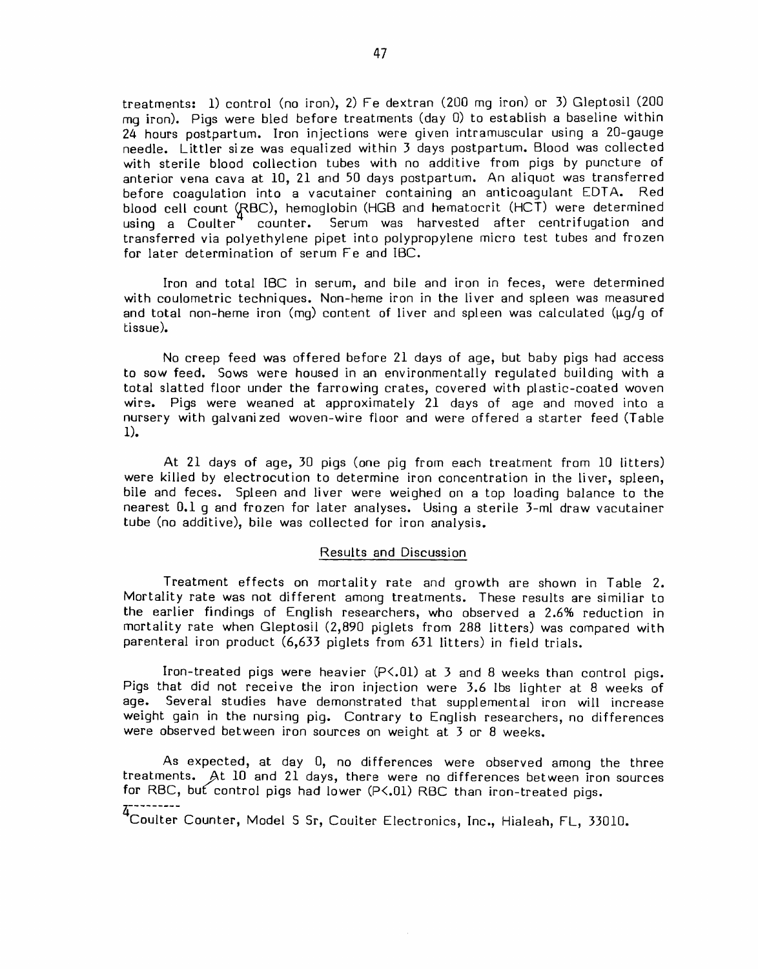treatments: 1) control (no iron), 2) Fe dextran (200 mq iron) or 3) Gleptosil (200 mq iron). Piqs were bled before treatments (day 0) to establish a baseline within 24 hours postpartum. Iron injections were given intramuscular using a 20-gauge needle. Littler size was equalized within 3 days postpartum. Blood was collected with sterile blood collection tubes with no additive from pigs by puncture of anterior vena cava at 10, 21 and 50 days postpartum. An aliquot was transferred before coaquiation into a vacutainer containing an anticoagulant EDTA. Red blood cell count (RBC), hemoglobin (HGB and hematocrit (HCT) were determined using a Coulter" counter. Serum was harvested after centrifugation and transferred via polyethylene pipet into polypropylene micro test tubes and frozen for later determination of serum Fe and IBC.

Iron and total IBC in serum, and bile and iron in feces, were determined with coulometric techniques. Non-heme iron in the liver and spleen was measured and total non-heme iron (mg) content of liver and spleen was calculated ( $\mu q/q$  of tissue).

No creep feed was offered before 21 days of age, but baby pigs had access to sow feed. Sows were housed in an environmentally requlated building with a total slatted floor under the farrowing crates, covered with plastic-coated woven wire. Pigs were weaned at approximately 21 days of age and moved into a nursery with galvanized woven-wire floor and were offered a starter feed (Table  $1$ ).

At 21 days of age, 30 pigs (one pig from each treatment from 10 litters) were killed by electrocution to determine iron concentration in the liver, spleen, bile and feces. Spleen and liver were weighed on a top loading balance to the nearest 0.1 g and frozen for later analyses. Using a sterile 3-ml draw vacutainer tube (no additive), bile was collected for iron analysis.

#### Results and Discussion

Treatment effects on mortality rate and growth are shown in Table 2. Mortality rate was not different among treatments. These results are similiar to the earlier findings of English researchers, who observed a 2.6% reduction in mortality rate when Gleptosil (2,890 piglets from 288 litters) was compared with parenteral iron product (6,633 piglets from 631 litters) in field trials.

Iron-treated pigs were heavier (P<.01) at 3 and 8 weeks than control pigs. Pigs that did not receive the iron injection were 3.6 lbs lighter at 8 weeks of age. Several studies have demonstrated that supplemental iron will increase weight gain in the nursing pig. Contrary to English researchers, no differences were observed between iron sources on weight at 3 or 8 weeks.

As expected, at day 0, no differences were observed among the three treatments. At 10 and 21 days, there were no differences between iron sources for RBC, but control pigs had lower (P<.01) RBC than iron-treated pigs.

4---------<br>Coulter Counter, Model S Sr, Coulter Electronics, Inc., Hialeah, FL, 33010.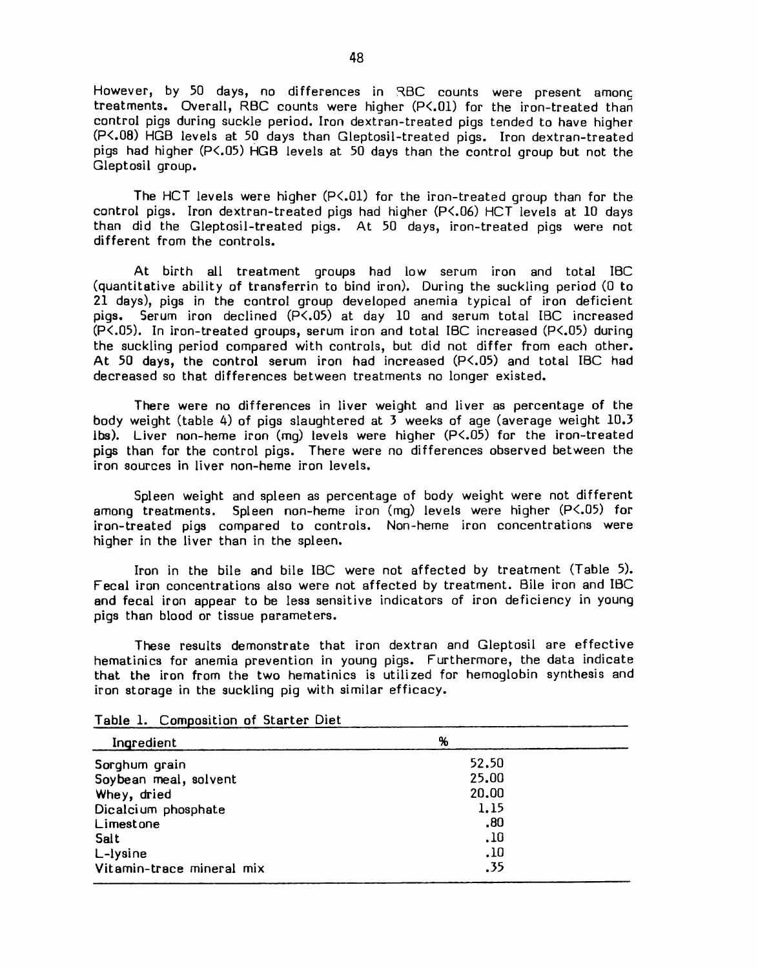However, by 50 days, no differences in RBC counts were present among treatments. Overall, RBC counts were higher (P<.01) for the iron-treated than control pigs during suckle period. Iron dextran-treated pigs tended to have higher (P<.08) HGB levels at 50 days than Gleptosil-treated pigs. Iron dextran-treated pigs had higher (P<.05) HGB levels at 50 days than the control group but not the Gleptosil group.

The HCT levels were higher (P<.01) for the iron-treated group than for the control pigs. Iron dextran-treated pigs had higher (P<.06) HCT levels at 10 days than did the Gleptosil-treated pigs. At 50 days, iron-treated pigs were not different from the controls.

At birth all treatment groups had low serum iron and total IBC (quantitative ability of transferrin to bind iron). During the suckling period (0 to 21 days), pigs in the control group developed anemia typical of iron deficient Serum iron declined (P<.05) at day 10 and serum total IBC increased pigs. (P<.05). In iron-treated groups, serum iron and total IBC increased (P<.05) during the suckling period compared with controls, but did not differ from each other. At 50 days, the control serum iron had increased  $(P<.05)$  and total IBC had decreased so that differences between treatments no longer existed.

There were no differences in liver weight and liver as percentage of the body weight (table 4) of pigs slaughtered at 3 weeks of age (average weight 10.3 ibs). Liver non-heme iron  $(mq)$  levels were higher  $(P<.05)$  for the iron-treated pigs than for the control pigs. There were no differences observed between the iron sources in liver non-heme iron levels.

Spleen weight and spleen as percentage of body weight were not different among treatments. Spleen non-heme iron (mg) levels were higher (P<.05) for iron-treated pigs compared to controls. Non-heme iron concentrations were higher in the liver than in the spleen.

Iron in the bile and bile IBC were not affected by treatment (Table 5). Fecal iron concentrations also were not affected by treatment. Bile iron and IBC and fecal iron appear to be less sensitive indicators of iron deficiency in young pigs than blood or tissue parameters.

These results demonstrate that iron dextran and Gleptosil are effective hematinics for anemia prevention in young pigs. Furthermore, the data indicate that the iron from the two hematinics is utilized for hemoglobin synthesis and iron storage in the suckling pig with similar efficacy.

| Ingredient                | %     |  |
|---------------------------|-------|--|
| Sorghum grain             | 52.50 |  |
| Soybean meal, solvent     | 25.00 |  |
| Whey, dried               | 20.00 |  |
| Dicalcium phosphate       | 1.15  |  |
| Limestone                 | .80   |  |
| Salt                      | .10   |  |
| L-lysine                  | .10   |  |
| Vitamin-trace mineral mix | .35   |  |

Table 1. Composition of Starter Diet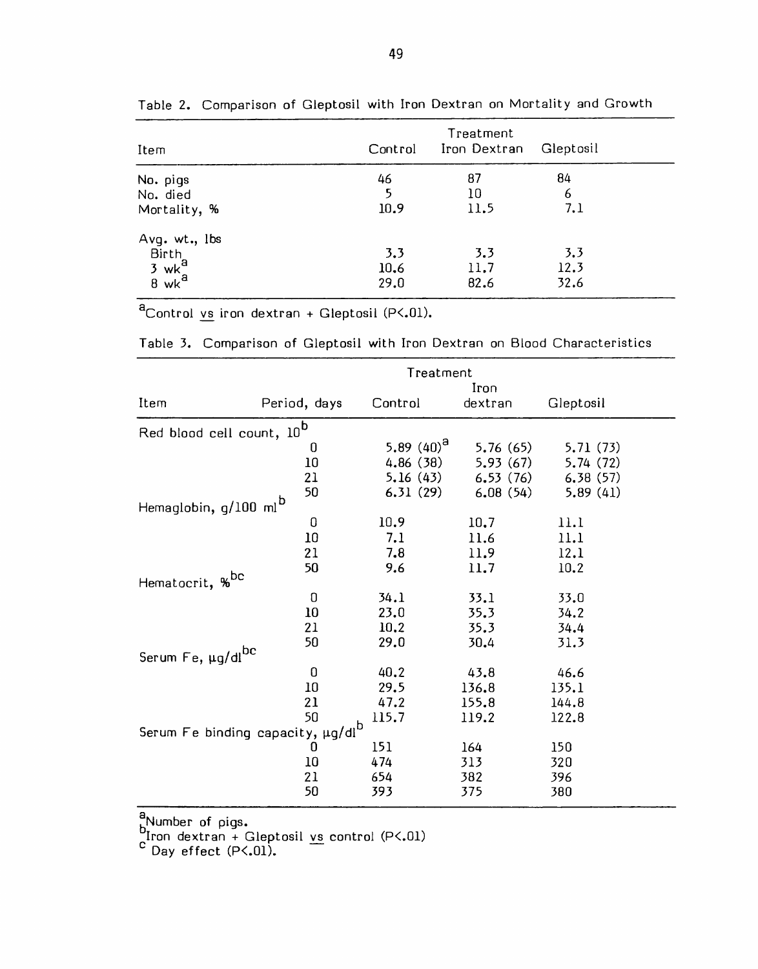| Item                                                         | Control             | Treatment<br>Iron Dextran | Gleptosil           |  |
|--------------------------------------------------------------|---------------------|---------------------------|---------------------|--|
| No. pigs<br>No. died<br>Mortality, %                         | 46<br>5<br>10.9     | 87<br>10<br>11.5          | 84<br>6<br>7.1      |  |
| Avg. wt., lbs<br>Birth<br>$3$ wk $^a$<br>$8$ wk <sup>a</sup> | 3.3<br>10.6<br>29.0 | 3.3<br>11.7<br>82.6       | 3.3<br>12.3<br>32.6 |  |

Table 2. Comparison of Gleptosil with Iron Dextran on Mortality and Growth

 $a^2$ Control vs iron dextran + Gleptosil (P<.01).

| Table 3. Comparison of Gleptosil with Iron Dextran on Blood Characteristics |  |  |  |  |  |  |  |  |  |  |  |
|-----------------------------------------------------------------------------|--|--|--|--|--|--|--|--|--|--|--|
|-----------------------------------------------------------------------------|--|--|--|--|--|--|--|--|--|--|--|

|                                            |              | Treatment       |                 |           |
|--------------------------------------------|--------------|-----------------|-----------------|-----------|
| Item                                       | Period, days | Control         | Iron<br>dextran | Gleptosil |
|                                            |              |                 |                 |           |
| Red blood cell count, 10 <sup>b</sup>      |              |                 |                 |           |
|                                            | 0            | 5.89 $(40)^{a}$ | 5.76(65)        | 5.71 (73) |
|                                            | 10           | 4.86(38)        | 5.93(67)        | 5.74(72)  |
|                                            | 21           | 5.16(43)        | 6.53(76)        | 6.38(57)  |
|                                            | 50           | 6.31(29)        | 6.08(54)        | 5.89(41)  |
| Hemaglobin, g/100 ml <sup>b</sup>          |              |                 |                 |           |
|                                            | 0            | 10.9            | 10.7            | 11.1      |
|                                            | 10           | 7.1             | 11.6            | 11.1      |
|                                            | 21           | 7.8             | 11.9            | 12.1      |
|                                            | 50           | 9.6             | 11.7            | 10.2      |
| Hematocrit, % <sup>bc</sup>                |              |                 |                 |           |
|                                            | O            | 34.1            | 33.1            | 33.0      |
|                                            | 10           | 23.0            | 35.3            | 34.2      |
|                                            | 21           | 10.2            | 35.3            | 34.4      |
|                                            | 50           | 29.0            | 30.4            | 31.3      |
| Serum Fe, µg/dlbc                          |              |                 |                 |           |
|                                            | 0            | 40.2            | 43.8            | 46.6      |
|                                            | 10           | 29.5            | 136.8           | 135.1     |
|                                            | 21           | 47.2            | 155.8           | 144.8     |
|                                            | 50           | 115.7           | 119.2           | 122.8     |
| Serum Fe binding capacity, $\mu$ g/dl $^b$ |              |                 |                 |           |
|                                            | 0            | 151             | 164             | 150       |
|                                            | 10           | 474             | 313             | 320       |
|                                            | 21           | 654             | 382             | 396       |
|                                            | 50           | 393             | 375             | 380       |

a<br>blron dextran + Gleptosil vs control (P<.01)<br>c Day effect (P<.01).